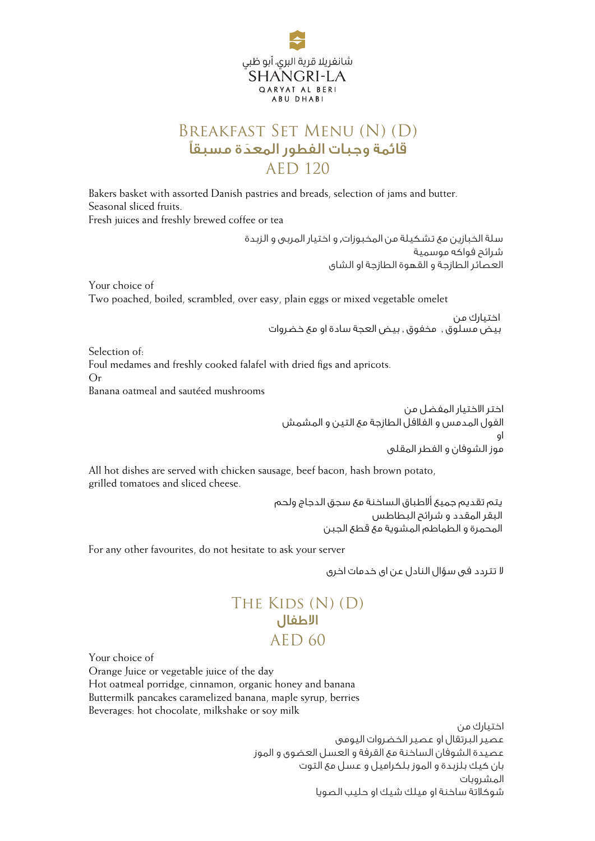

## Breakfast Set Menu (N) (D) َ قائمة وجبات الفطور المعدة مسبق AED 120

Bakers basket with assorted Danish pastries and breads, selection of jams and butter. Seasonal sliced fruits. Fresh juices and freshly brewed coffee or tea

> سلة الخبازين مع تشكيلة من المخبوزات, و اختيار المربى و الزبدة شرائح فواكه موسمية العصائر الطازجة و القهوة الطازجة او الشاى

Your choice of Two poached, boiled, scrambled, over easy, plain eggs or mixed vegetable omelet

> بيض مسلوق , مخفوق , بيض العجة سادة او مع خضروات اختيارك من

Selection of: Foul medames and freshly cooked falafel with dried figs and apricots. Or Banana oatmeal and sautéed mushrooms

> اختر الاختيار المفضل من الفول المدمس و الفلافل الطازجة مع التين و المشمش او .<br>موز الشوفان و الفطر المقلى

All hot dishes are served with chicken sausage, beef bacon, hash brown potato, grilled tomatoes and sliced cheese.

> يتم تقديم جميع ألاطباق الساخنة مع سجق الدجاج ولحم البقر المقدد و شرائح البطاطس المحمرة و الطماطم المشوية مع قطع الجبن

For any other favourites, do not hesitate to ask your server

لا تتردد فى سؤال النادل عن اى خدمات اخرى

## THE KIDS (N) (D) AED 60 الاطفال

Your choice of

Orange Juice or vegetable juice of the day

Hot oatmeal porridge, cinnamon, organic honey and banana Buttermilk pancakes caramelized banana, maple syrup, berries

Beverages: hot chocolate, milkshake or soy milk

اختيارك من عصير البرتقال او عصير الخضروات اليومى عصيدة الشوفان الساخنة مع القرفة و العسل العضوى و الموز بان كيك بلزبدة و الموز بلكراميل و عسل مع التوت المشروبات شوكلاتة ساخنة او ميلك شيك او حليب الصويا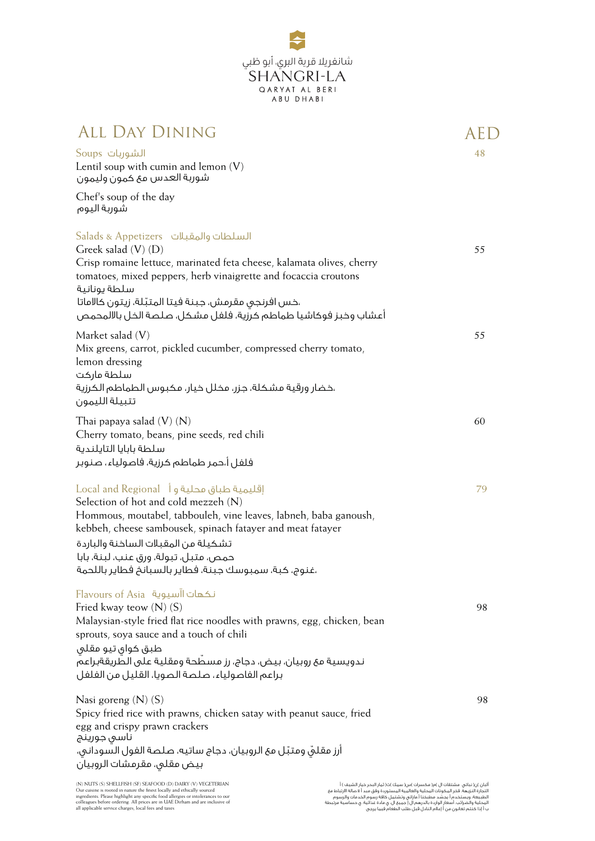

| <b>ALL DAY DINING</b>                                                                                                                                                                                                                                                                                                                                        | AED |
|--------------------------------------------------------------------------------------------------------------------------------------------------------------------------------------------------------------------------------------------------------------------------------------------------------------------------------------------------------------|-----|
| الشوربات Soups<br>Lentil soup with cumin and lemon $(V)$<br>شوربة العدس مع كمون وليمون                                                                                                                                                                                                                                                                       | 48  |
| Chef's soup of the day<br>شوربة اليوم                                                                                                                                                                                                                                                                                                                        |     |
| السلطات والمقبلات   Salads & Appetizers<br>Greek salad $(V)$ $(D)$<br>Crisp romaine lettuce, marinated feta cheese, kalamata olives, cherry<br>tomatoes, mixed peppers, herb vinaigrette and focaccia croutons<br>سلطة يونانية<br>،خس افرنجى مقرمش، جبنة فيتا المتبّلة، زيتون كالاماتا<br>أعشاب وخبز فوكاشيا طماطم كرزية، فلفل مشكل، صلصة الخل بالالمحمص     | 55  |
| Market salad $(V)$<br>Mix greens, carrot, pickled cucumber, compressed cherry tomato,<br>lemon dressing<br>سلطة ماركت<br>،خضار ورقية مشكلة، جزر، مخلل خيار، مكبوس الطماطم الكرزية<br>تتبيلة الليمون                                                                                                                                                          | 55  |
| Thai papaya salad $(V)$ $(N)$<br>Cherry tomato, beans, pine seeds, red chili<br>سلطة بابايا التايلندية<br>فلفل أ،حمر طماطم كرزية، فاصولياء، صنوبر                                                                                                                                                                                                            | 60  |
| اقليمية طباق محلية و Local and Regional 1<br>Selection of hot and cold mezzeh (N)<br>Hommous, moutabel, tabbouleh, vine leaves, labneh, baba ganoush,<br>kebbeh, cheese sambousek, spinach fatayer and meat fatayer<br>تشكيلة من المقبلات الساخنة والباردة<br>حمص، متبل، تبولة، ورق عنب، لبنة، بابا<br>،غنوج، كبة، سمبوسك جبنة، فطاير بالسبانخ فطاير باللحمة | 79  |
| Elavours of Asia نكهات اآسيوية<br>Fried kway teow $(N)$ $(S)$<br>Malaysian-style fried flat rice noodles with prawns, egg, chicken, bean<br>sprouts, soya sauce and a touch of chili<br>طبق کوای تیو مقلی<br>ندويسية مع روبيان، بيض، دجاج، رز مسطّحة ومقلية على الطّريقةبراعم<br>براعم الفاصولياء، صلصة الصويا، القليل من الفلفل                             | 98  |
| Nasi goreng $(N)$ $(S)$<br>Spicy fried rice with prawns, chicken satay with peanut sauce, fried<br>egg and crispy prawn crackers<br>ناسی جورینج<br>أرز مقلق ومتبّل مع الروبيان، دجاج ساتيه، صلصة الفول السوداني،<br>بيض مقلى، مقرمشات الروبيان                                                                                                               | 98  |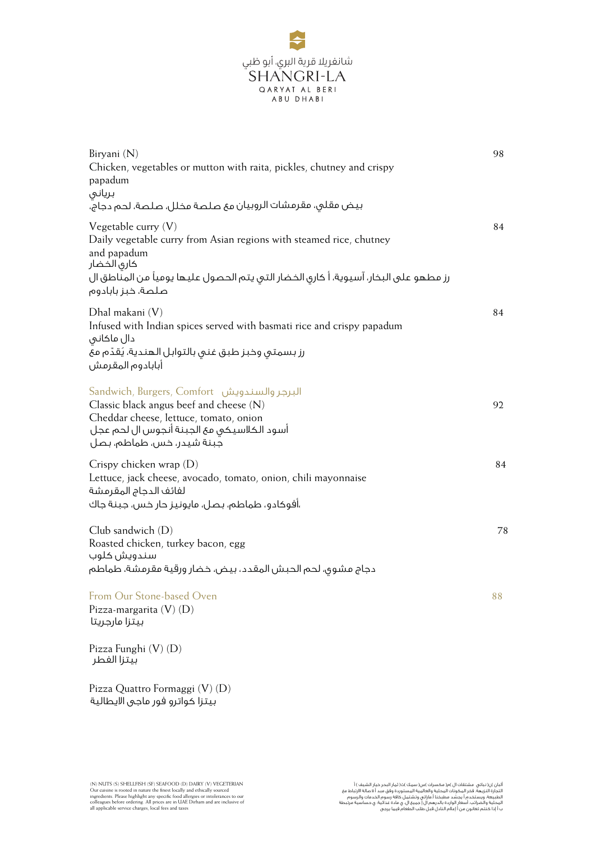

| Biryani (N)<br>Chicken, vegetables or mutton with raita, pickles, chutney and crispy<br>papadum<br>بريانى<br>بيض مقلى، مقرمشات الروبيان مع صلصة مخلل، صلصة، لحم دجاج،                                                                   | 98 |
|-----------------------------------------------------------------------------------------------------------------------------------------------------------------------------------------------------------------------------------------|----|
| Vegetable curry $(V)$<br>Daily vegetable curry from Asian regions with steamed rice, chutney<br>and papadum<br>كارى الخضار<br>رز مطهو على البخار، آسيوية، أ كارى الخضار التى يتم الحصول عليها يومياً من المناطق ال<br>صلصة، خبز بابادوم | 84 |
| Dhal makani (V)<br>Infused with Indian spices served with basmati rice and crispy papadum<br>دال ماكانى<br>رز بسمتى وخبز طبق غنى بالتوابل الهندية، يُقدّم مع<br>آبابادوم المقرمش                                                        | 84 |
| البرجر والسندويش   Sandwich, Burgers, Comfort<br>Classic black angus beef and cheese $(N)$<br>Cheddar cheese, lettuce, tomato, onion<br>أسود الكلاسيكى مع الجبنة آنجوس ال لحم عجل<br>جبنة شيدر، خس، طماطم، بصل                          | 92 |
| Crispy chicken wrap $(D)$<br>Lettuce, jack cheese, avocado, tomato, onion, chili mayonnaise<br>لفائف الدجاج المقرمشة<br>،آفوكادو، طماطم، بصل، مايونيز حار خس، جبنة جاك                                                                  | 84 |
| Club sandwich (D)<br>Roasted chicken, turkey bacon, egg<br>سندويش كلوب<br>دجاج مشوق، لحم الحبش المقدد، بيض، خضار ورقية مقرمشة، طماطم                                                                                                    | 78 |
| From Our Stone-based Oven<br>Pizza-margarita $(V)$ $(D)$<br>بيتزا مارجريتا                                                                                                                                                              | 88 |
| Pizza Funghi (V) (D)<br>بيتزا الفطر                                                                                                                                                                                                     |    |
| Pizza Quattro Formaggi (V) (D)                                                                                                                                                                                                          |    |

بيتزا كواترو فور ماجى الايطالية